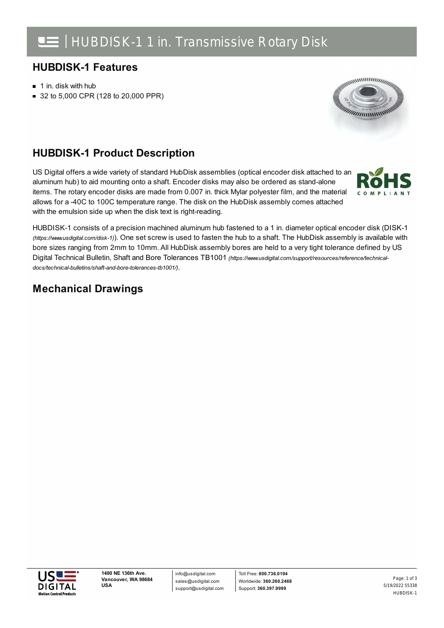# **HUBDISK-1 Features**

- $\blacksquare$  1 in. disk with hub
- 32 to 5,000 CPR (128 to 20,000 PPR)



### **HUBDISK-1 Product Description**

US Digital offers a wide variety of standard HubDisk assemblies (optical encoder disk attached to an aluminum hub) to aid mounting onto a shaft. Encoder disks may also be ordered as stand-alone items. The rotary encoder disks are made from 0.007 in. thick Mylar polyester film, and the material allows for a -40C to 100C temperature range. The disk on the HubDisk assembly comes attached with the emulsion side up when the disk text is right-reading.



HUBDISK-1 consists of a precision machined aluminum hub fastened to a 1 in. diameter optical encoder disk (DISK-1 *(https://www.usdigital.com/disk-1)*). One set screw is used to fasten the hub to a shaft. The HubDisk assembly is available with bore sizes ranging from 2mm to 10mm. All HubDisk assembly bores are held to a very tight tolerance defined by US Digital Technical Bulletin, Shaft and Bore Tolerances TB1001 *[\(https://www.usdigital.com/support/resources/reference/technical](https://www.usdigital.com/support/resources/reference/technical-docs/technical-bulletins/shaft-and-bore-tolerances-tb1001/)docs/technical-bulletins/shaft-and-bore-tolerances-tb1001/)*.

# **Mechanical Drawings**

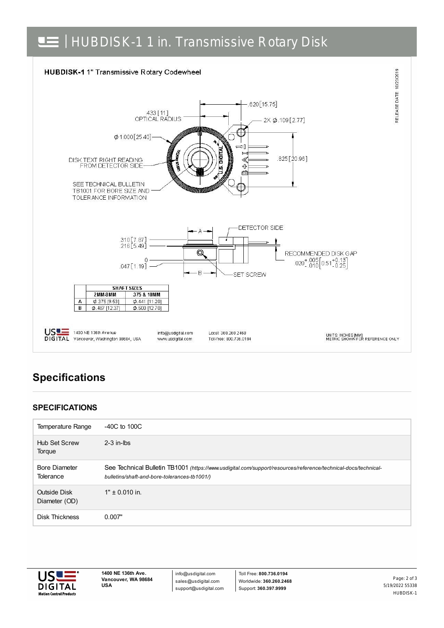



# **Specifications**

### **SPECIFICATIONS**

| Temperature Range                 | $-40C$ to $100C$                                                                                                                                               |
|-----------------------------------|----------------------------------------------------------------------------------------------------------------------------------------------------------------|
| <b>Hub Set Screw</b><br>Torque    | $2-3$ in-lbs                                                                                                                                                   |
| <b>Bore Diameter</b><br>Tolerance | See Technical Bulletin TB1001 (https://www.usdigital.com/support/resources/reference/technical-docs/technical-<br>bulletins/shaft-and-bore-tolerances-tb1001/) |
| Outside Disk<br>Diameter (OD)     | $1" \pm 0.010$ in.                                                                                                                                             |
| <b>Disk Thickness</b>             | 0.007"                                                                                                                                                         |



**1400 NE 136th Ave. Vancouver, WA 98684 USA**

info@usdigital.com sales@usdigital.com support@usdigital.com

Toll Free: **800.736.0194** Worldwide: **360.260.2468** Support: **360.397.9999**

5/19/2022 55338 HUBDISK-1 Page: 2 of 3